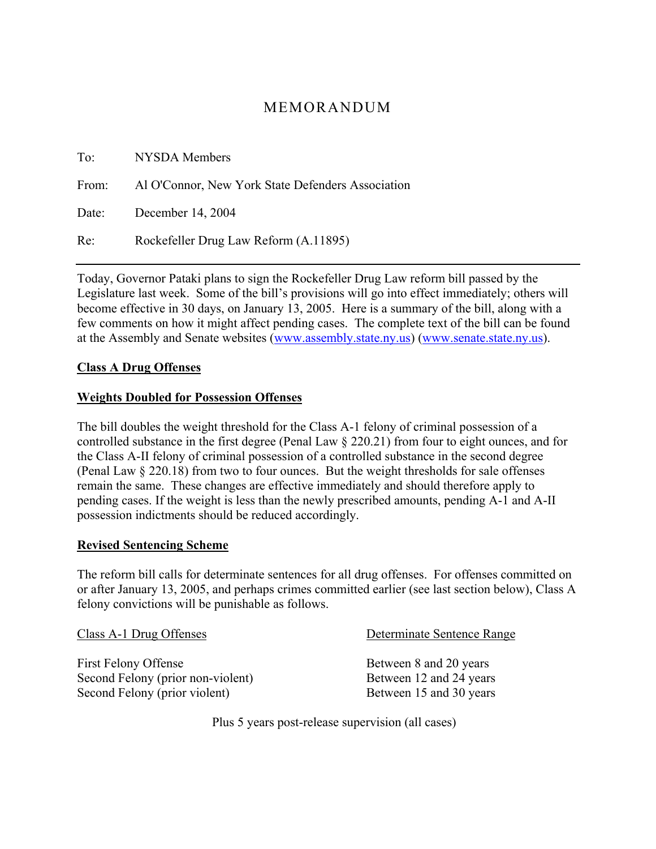# MEMORANDUM

| To: | NYSDA Members                                           |
|-----|---------------------------------------------------------|
|     | From: Al O'Connor, New York State Defenders Association |
|     | Date: December 14, 2004                                 |
| Re: | Rockefeller Drug Law Reform (A.11895)                   |

Today, Governor Pataki plans to sign the Rockefeller Drug Law reform bill passed by the Legislature last week. Some of the bill's provisions will go into effect immediately; others will become effective in 30 days, on January 13, 2005. Here is a summary of the bill, along with a few comments on how it might affect pending cases. The complete text of the bill can be found at the Assembly and Senate websites (www.assembly.state.ny.us) (www.senate.state.ny.us).

#### **Class A Drug Offenses**

#### **Weights Doubled for Possession Offenses**

The bill doubles the weight threshold for the Class A-1 felony of criminal possession of a controlled substance in the first degree (Penal Law § 220.21) from four to eight ounces, and for the Class A-II felony of criminal possession of a controlled substance in the second degree (Penal Law § 220.18) from two to four ounces. But the weight thresholds for sale offenses remain the same. These changes are effective immediately and should therefore apply to pending cases. If the weight is less than the newly prescribed amounts, pending A-1 and A-II possession indictments should be reduced accordingly.

#### **Revised Sentencing Scheme**

The reform bill calls for determinate sentences for all drug offenses. For offenses committed on or after January 13, 2005, and perhaps crimes committed earlier (see last section below), Class A felony convictions will be punishable as follows.

| Class A-1 Drug Offenses           | Determinate Sentence Range |
|-----------------------------------|----------------------------|
| First Felony Offense              | Between 8 and 20 years     |
| Second Felony (prior non-violent) | Between 12 and 24 years    |
| Second Felony (prior violent)     | Between 15 and 30 years    |

Plus 5 years post-release supervision (all cases)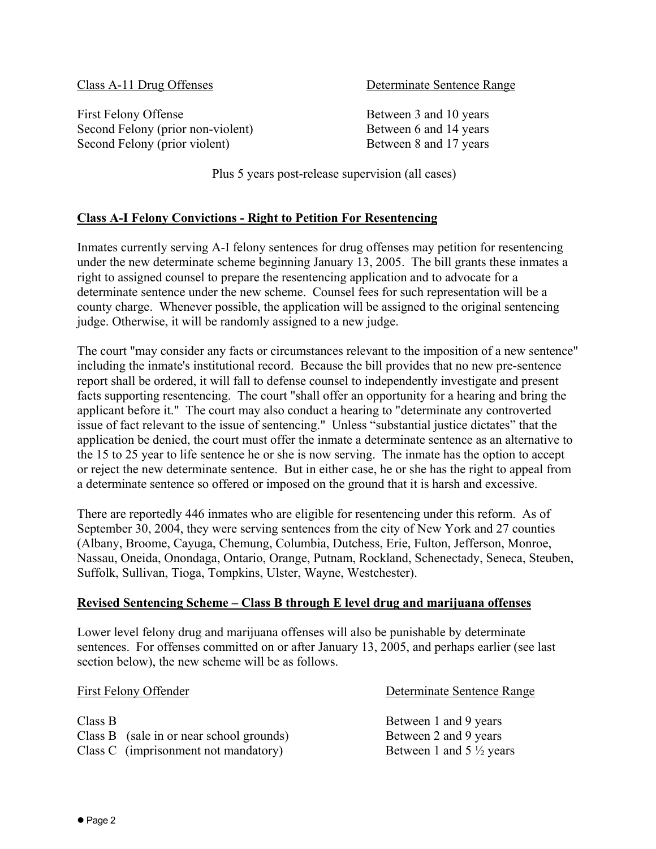Class A-11 Drug Offenses Determinate Sentence Range

First Felony Offense Between 3 and 10 years Second Felony (prior non-violent) Between 6 and 14 years Second Felony (prior violent) Between 8 and 17 years

Plus 5 years post-release supervision (all cases)

### **Class A-I Felony Convictions - Right to Petition For Resentencing**

Inmates currently serving A-I felony sentences for drug offenses may petition for resentencing under the new determinate scheme beginning January 13, 2005. The bill grants these inmates a right to assigned counsel to prepare the resentencing application and to advocate for a determinate sentence under the new scheme. Counsel fees for such representation will be a county charge. Whenever possible, the application will be assigned to the original sentencing judge. Otherwise, it will be randomly assigned to a new judge.

The court "may consider any facts or circumstances relevant to the imposition of a new sentence" including the inmate's institutional record. Because the bill provides that no new pre-sentence report shall be ordered, it will fall to defense counsel to independently investigate and present facts supporting resentencing. The court "shall offer an opportunity for a hearing and bring the applicant before it." The court may also conduct a hearing to "determinate any controverted issue of fact relevant to the issue of sentencing." Unless "substantial justice dictates" that the application be denied, the court must offer the inmate a determinate sentence as an alternative to the 15 to 25 year to life sentence he or she is now serving. The inmate has the option to accept or reject the new determinate sentence. But in either case, he or she has the right to appeal from a determinate sentence so offered or imposed on the ground that it is harsh and excessive.

There are reportedly 446 inmates who are eligible for resentencing under this reform. As of September 30, 2004, they were serving sentences from the city of New York and 27 counties (Albany, Broome, Cayuga, Chemung, Columbia, Dutchess, Erie, Fulton, Jefferson, Monroe, Nassau, Oneida, Onondaga, Ontario, Orange, Putnam, Rockland, Schenectady, Seneca, Steuben, Suffolk, Sullivan, Tioga, Tompkins, Ulster, Wayne, Westchester).

#### **Revised Sentencing Scheme – Class B through E level drug and marijuana offenses**

Lower level felony drug and marijuana offenses will also be punishable by determinate sentences. For offenses committed on or after January 13, 2005, and perhaps earlier (see last section below), the new scheme will be as follows.

| First Felony Offender                    | Determinate Sentence Range          |
|------------------------------------------|-------------------------------------|
| Class B                                  | Between 1 and 9 years               |
| Class B (sale in or near school grounds) | Between 2 and 9 years               |
| Class C (imprisonment not mandatory)     | Between 1 and 5 $\frac{1}{2}$ years |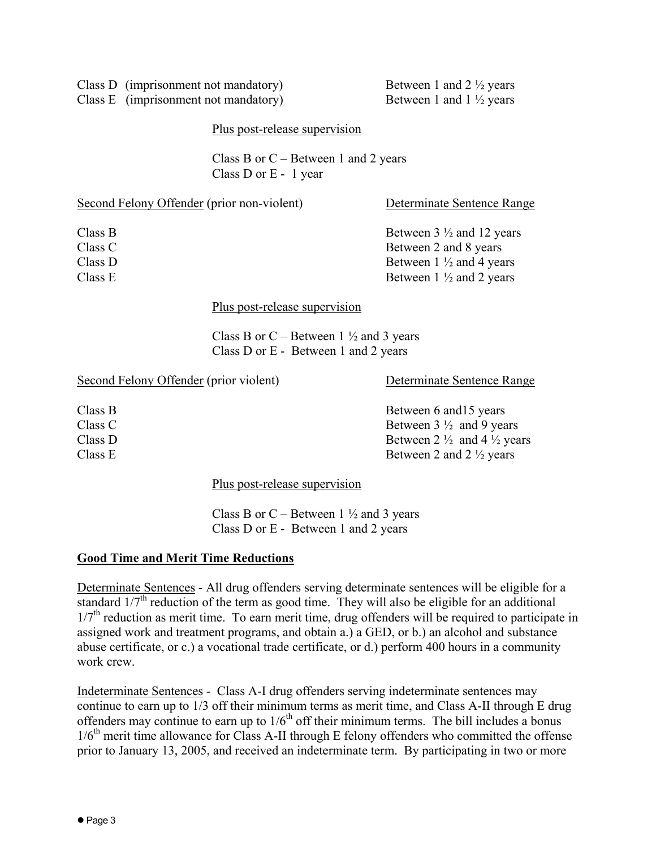| Class D (Imprisonment not mandator |
|------------------------------------|
| Class E (imprisonment not mandator |

Class D (imprisonment not mandatory) Between 1 and  $2\frac{1}{2}$  years (i) Between 1 and  $1 \frac{1}{2}$  years

### Plus post-release supervision

Class B or  $C$  – Between 1 and 2 years Class D or E - 1 year

| Second Felony Offender (prior non-violent) | Determinate Sentence Range          |
|--------------------------------------------|-------------------------------------|
| Class B                                    | Between $3\frac{1}{2}$ and 12 years |
| Class C                                    | Between 2 and 8 years               |
| Class D                                    | Between $1 \frac{1}{2}$ and 4 years |
| Class E                                    | Between $1 \frac{1}{2}$ and 2 years |
|                                            |                                     |

#### Plus post-release supervision

Class B or C – Between 1  $\frac{1}{2}$  and 3 years Class D or E - Between 1 and 2 years

Second Felony Offender (prior violent) Determinate Sentence Range

Class B Between 6 and 15 years Class C Between  $3\frac{1}{2}$  and 9 years Class D Between 2  $\frac{1}{2}$  and 4  $\frac{1}{2}$  years Class E Between 2 and  $2\frac{1}{2}$  years

Plus post-release supervision

Class B or C – Between  $1\frac{1}{2}$  and 3 years Class D or E - Between 1 and 2 years

### **Good Time and Merit Time Reductions**

Determinate Sentences - All drug offenders serving determinate sentences will be eligible for a standard  $1/7<sup>th</sup>$  reduction of the term as good time. They will also be eligible for an additional  $1/7<sup>th</sup>$  reduction as merit time. To earn merit time, drug offenders will be required to participate in assigned work and treatment programs, and obtain a.) a GED, or b.) an alcohol and substance abuse certificate, or c.) a vocational trade certificate, or d.) perform 400 hours in a community work crew.

Indeterminate Sentences - Class A-I drug offenders serving indeterminate sentences may continue to earn up to 1/3 off their minimum terms as merit time, and Class A-II through E drug offenders may continue to earn up to  $1/6<sup>th</sup>$  off their minimum terms. The bill includes a bonus 1/6<sup>th</sup> merit time allowance for Class A-II through E felony offenders who committed the offense prior to January 13, 2005, and received an indeterminate term. By participating in two or more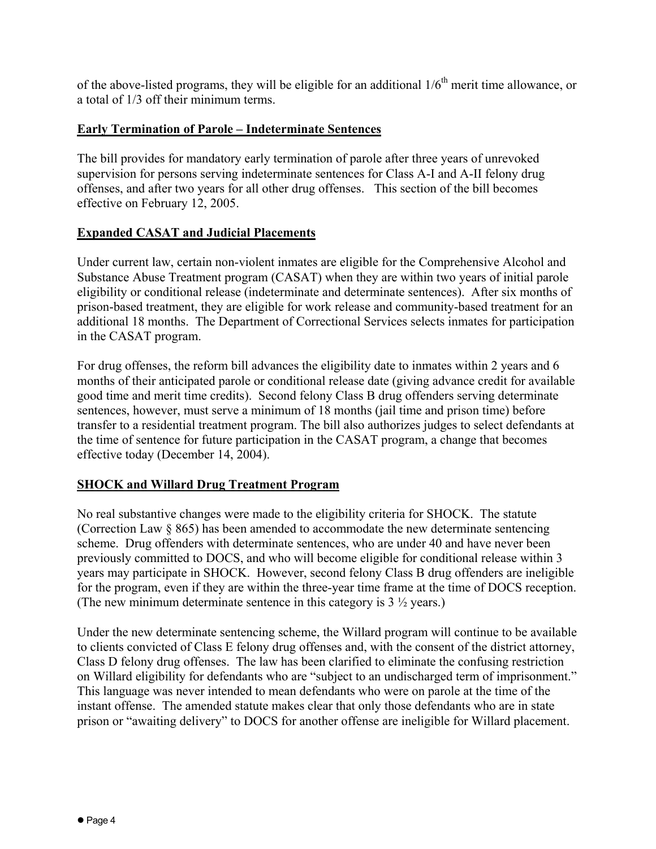of the above-listed programs, they will be eligible for an additional  $1/6<sup>th</sup>$  merit time allowance, or a total of 1/3 off their minimum terms.

### **Early Termination of Parole – Indeterminate Sentences**

The bill provides for mandatory early termination of parole after three years of unrevoked supervision for persons serving indeterminate sentences for Class A-I and A-II felony drug offenses, and after two years for all other drug offenses. This section of the bill becomes effective on February 12, 2005.

### **Expanded CASAT and Judicial Placements**

Under current law, certain non-violent inmates are eligible for the Comprehensive Alcohol and Substance Abuse Treatment program (CASAT) when they are within two years of initial parole eligibility or conditional release (indeterminate and determinate sentences). After six months of prison-based treatment, they are eligible for work release and community-based treatment for an additional 18 months. The Department of Correctional Services selects inmates for participation in the CASAT program.

For drug offenses, the reform bill advances the eligibility date to inmates within 2 years and 6 months of their anticipated parole or conditional release date (giving advance credit for available good time and merit time credits). Second felony Class B drug offenders serving determinate sentences, however, must serve a minimum of 18 months (jail time and prison time) before transfer to a residential treatment program. The bill also authorizes judges to select defendants at the time of sentence for future participation in the CASAT program, a change that becomes effective today (December 14, 2004).

#### **SHOCK and Willard Drug Treatment Program**

No real substantive changes were made to the eligibility criteria for SHOCK. The statute (Correction Law § 865) has been amended to accommodate the new determinate sentencing scheme. Drug offenders with determinate sentences, who are under 40 and have never been previously committed to DOCS, and who will become eligible for conditional release within 3 years may participate in SHOCK. However, second felony Class B drug offenders are ineligible for the program, even if they are within the three-year time frame at the time of DOCS reception. (The new minimum determinate sentence in this category is  $3\frac{1}{2}$  years.)

Under the new determinate sentencing scheme, the Willard program will continue to be available to clients convicted of Class E felony drug offenses and, with the consent of the district attorney, Class D felony drug offenses. The law has been clarified to eliminate the confusing restriction on Willard eligibility for defendants who are "subject to an undischarged term of imprisonment." This language was never intended to mean defendants who were on parole at the time of the instant offense. The amended statute makes clear that only those defendants who are in state prison or "awaiting delivery" to DOCS for another offense are ineligible for Willard placement.